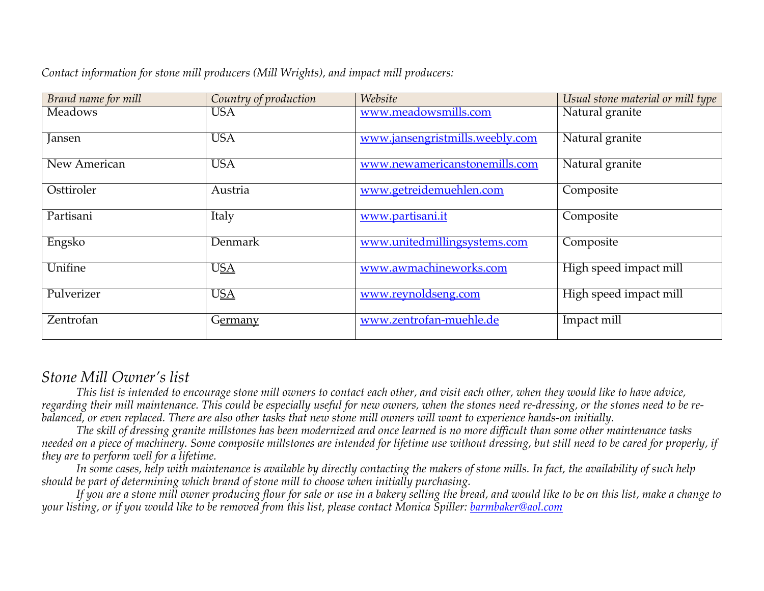| Brand name for mill | Country of production | Website                         | Usual stone material or mill type |
|---------------------|-----------------------|---------------------------------|-----------------------------------|
| <b>Meadows</b>      | <b>USA</b>            | www.meadowsmills.com            | Natural granite                   |
| Jansen              | <b>USA</b>            | www.jansengristmills.weebly.com | Natural granite                   |
| New American        | <b>USA</b>            | www.newamericanstonemills.com   | Natural granite                   |
| Osttiroler          | Austria               | www.getreidemuehlen.com         | Composite                         |
| Partisani           | Italy                 | www.partisani.it                | Composite                         |
| Engsko              | Denmark               | www.unitedmillingsystems.com    | Composite                         |
| Unifine             | <b>USA</b>            | www.awmachineworks.com          | High speed impact mill            |
| Pulverizer          | <b>USA</b>            | www.reynoldseng.com             | High speed impact mill            |
| Zentrofan           | Germany               | www.zentrofan-muehle.de         | Impact mill                       |

*Contact information for stone mill producers (Mill Wrights), and impact mill producers:* 

## *Stone Mill Owner's list*

*This list is intended to encourage stone mill owners to contact each other, and visit each other, when they would like to have advice, regarding their mill maintenance. This could be especially useful for new owners, when the stones need re-dressing, or the stones need to be rebalanced, or even replaced. There are also other tasks that new stone mill owners will want to experience hands-on initially.*

*The skill of dressing granite millstones has been modernized and once learned is no more difficult than some other maintenance tasks needed on a piece of machinery. Some composite millstones are intended for lifetime use without dressing, but still need to be cared for properly, if they are to perform well for a lifetime.*

*In some cases, help with maintenance is available by directly contacting the makers of stone mills. In fact, the availability of such help should be part of determining which brand of stone mill to choose when initially purchasing.*

*If you are a stone mill owner producing flour for sale or use in a bakery selling the bread, and would like to be on this list, make a change to your listing, or if you would like to be removed from this list, please contact Monica Spiller: barmbaker@aol.com*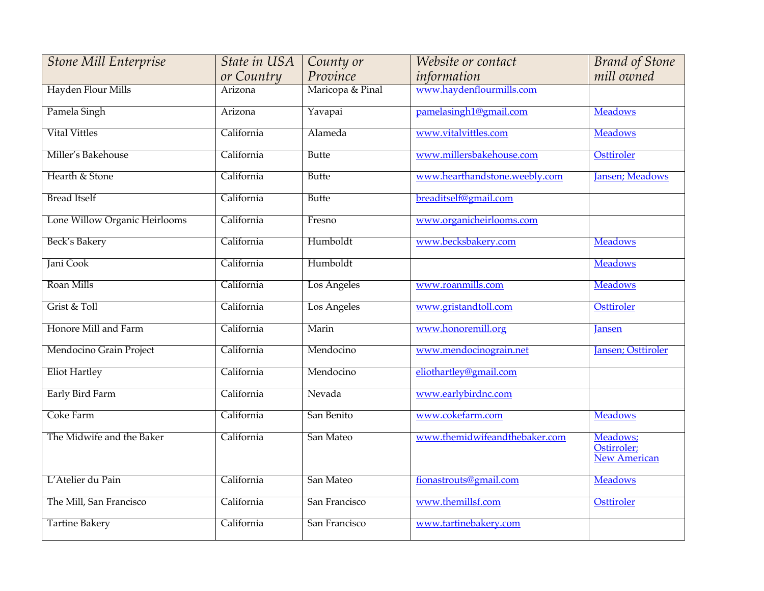| <b>Stone Mill Enterprise</b>  | State in USA | County or        | Website or contact            | <b>Brand of Stone</b>                          |
|-------------------------------|--------------|------------------|-------------------------------|------------------------------------------------|
|                               | or Country   | Province         | information                   | mill owned                                     |
| Hayden Flour Mills            | Arizona      | Maricopa & Pinal | www.haydenflourmills.com      |                                                |
| Pamela Singh                  | Arizona      | Yavapai          | pamelasingh1@gmail.com        | <b>Meadows</b>                                 |
| <b>Vital Vittles</b>          | California   | Alameda          | www.vitalvittles.com          | <b>Meadows</b>                                 |
| Miller's Bakehouse            | California   | <b>Butte</b>     | www.millersbakehouse.com      | <b>Osttiroler</b>                              |
| Hearth & Stone                | California   | <b>Butte</b>     | www.hearthandstone.weebly.com | Jansen; Meadows                                |
| <b>Bread Itself</b>           | California   | <b>Butte</b>     | breaditself@gmail.com         |                                                |
| Lone Willow Organic Heirlooms | California   | Fresno           | www.organicheirlooms.com      |                                                |
| Beck's Bakery                 | California   | Humboldt         | www.becksbakery.com           | <b>Meadows</b>                                 |
| <b>Jani Cook</b>              | California   | Humboldt         |                               | <b>Meadows</b>                                 |
| Roan Mills                    | California   | Los Angeles      | www.roanmills.com             | <b>Meadows</b>                                 |
| Grist & Toll                  | California   | Los Angeles      | www.gristandtoll.com          | Osttiroler                                     |
| Honore Mill and Farm          | California   | Marin            | www.honoremill.org            | <b>Jansen</b>                                  |
| Mendocino Grain Project       | California   | Mendocino        | www.mendocinograin.net        | Jansen; Osttiroler                             |
| <b>Eliot Hartley</b>          | California   | Mendocino        | eliothartley@gmail.com        |                                                |
| Early Bird Farm               | California   | Nevada           | www.earlybirdnc.com           |                                                |
| Coke Farm                     | California   | San Benito       | www.cokefarm.com              | <b>Meadows</b>                                 |
| The Midwife and the Baker     | California   | San Mateo        | www.themidwifeandthebaker.com | Meadows;<br>Ostirroler;<br><b>New American</b> |
| L'Atelier du Pain             | California   | San Mateo        | fionastrouts@gmail.com        | <b>Meadows</b>                                 |
| The Mill, San Francisco       | California   | San Francisco    | www.themillsf.com             | Osttiroler                                     |
| <b>Tartine Bakery</b>         | California   | San Francisco    | www.tartinebakery.com         |                                                |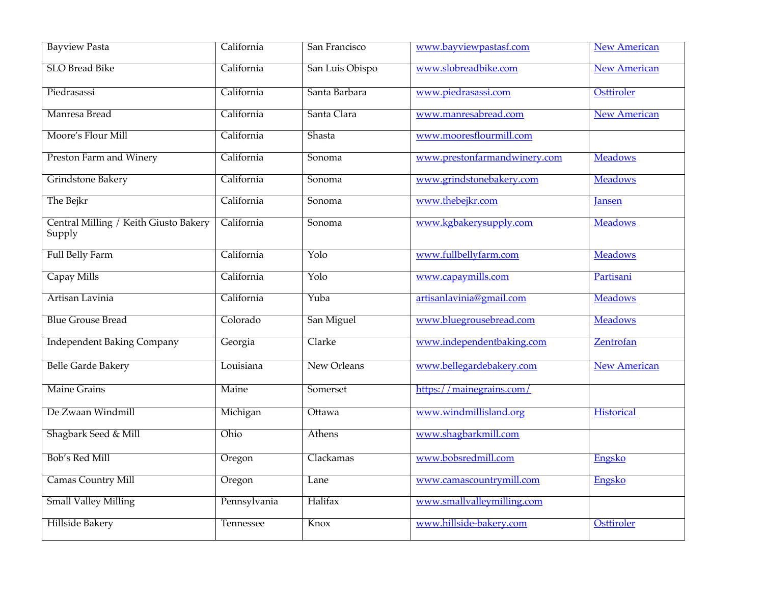| <b>Bayview Pasta</b>                            | California   | San Francisco   | www.bayviewpastasf.com       | <b>New American</b> |
|-------------------------------------------------|--------------|-----------------|------------------------------|---------------------|
| <b>SLO Bread Bike</b>                           | California   | San Luis Obispo | www.slobreadbike.com         | <b>New American</b> |
| Piedrasassi                                     | California   | Santa Barbara   | www.piedrasassi.com          | Osttiroler          |
| Manresa Bread                                   | California   | Santa Clara     | www.manresabread.com         | <b>New American</b> |
| Moore's Flour Mill                              | California   | Shasta          | www.mooresflourmill.com      |                     |
| <b>Preston Farm and Winery</b>                  | California   | Sonoma          | www.prestonfarmandwinery.com | <b>Meadows</b>      |
| <b>Grindstone Bakery</b>                        | California   | Sonoma          | www.grindstonebakery.com     | <b>Meadows</b>      |
| The Bejkr                                       | California   | Sonoma          | www.thebejkr.com             | <b>Jansen</b>       |
| Central Milling / Keith Giusto Bakery<br>Supply | California   | Sonoma          | www.kgbakerysupply.com       | <b>Meadows</b>      |
| <b>Full Belly Farm</b>                          | California   | Yolo            | www.fullbellyfarm.com        | <b>Meadows</b>      |
| Capay Mills                                     | California   | Yolo            | www.capaymills.com           | Partisani           |
| Artisan Lavinia                                 | California   | Yuba            | artisanlavinia@gmail.com     | <b>Meadows</b>      |
| <b>Blue Grouse Bread</b>                        | Colorado     | San Miguel      | www.bluegrousebread.com      | <b>Meadows</b>      |
| <b>Independent Baking Company</b>               | Georgia      | Clarke          | www.independentbaking.com    | Zentrofan           |
| <b>Belle Garde Bakery</b>                       | Louisiana    | New Orleans     | www.bellegardebakery.com     | <b>New American</b> |
| <b>Maine Grains</b>                             | Maine        | Somerset        | https://mainegrains.com/     |                     |
| De Zwaan Windmill                               | Michigan     | Ottawa          | www.windmillisland.org       | <b>Historical</b>   |
| Shagbark Seed & Mill                            | Ohio         | Athens          | www.shagbarkmill.com         |                     |
| Bob's Red Mill                                  | Oregon       | Clackamas       | www.bobsredmill.com          | Engsko              |
| <b>Camas Country Mill</b>                       | Oregon       | Lane            | www.camascountrymill.com     | Engsko              |
| <b>Small Valley Milling</b>                     | Pennsylvania | Halifax         | www.smallvalleymilling.com   |                     |
| <b>Hillside Bakery</b>                          | Tennessee    | Knox            | www.hillside-bakery.com      | Osttiroler          |